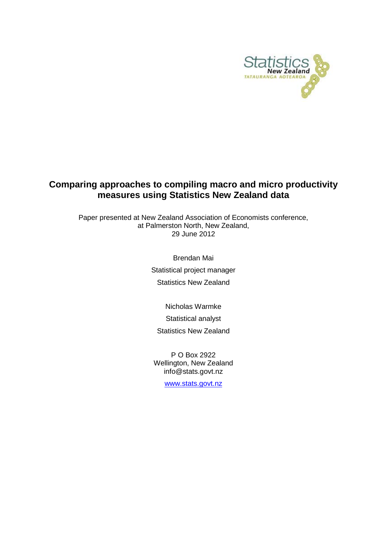

## **Comparing approaches to compiling macro and micro productivity measures using Statistics New Zealand data**

Paper presented at New Zealand Association of Economists conference, at Palmerston North, New Zealand, 29 June 2012

> Brendan Mai Statistical project manager Statistics New Zealand

> > Nicholas Warmke Statistical analyst

Statistics New Zealand

P O Box 2922 Wellington, New Zealand info@stats.govt.nz

[www.stats.govt.nz](http://www.stats.govt.nz/)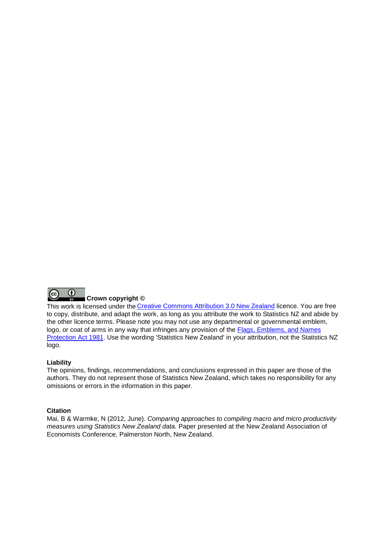

## **Crown copyright ©** This work is licensed under the [Creative Commons Attribution 3.0 New Zealand](http://creativecommons.org/licenses/by/3.0/nz/deed.en) licence. You are free

to copy, distribute, and adapt the work, as long as you attribute the work to Statistics NZ and abide by the other licence terms. Please note you may not use any departmental or governmental emblem, logo, or coat of arms in any way that infringes any provision of the [Flags, Emblems, and Names](http://www.legislation.govt.nz/act/public/1981/0047/latest/DLM51358.html)  [Protection Act 1981.](http://www.legislation.govt.nz/act/public/1981/0047/latest/DLM51358.html) Use the wording 'Statistics New Zealand' in your attribution, not the Statistics NZ logo.

#### **Liability**

The opinions, findings, recommendations, and conclusions expressed in this paper are those of the authors. They do not represent those of Statistics New Zealand, which takes no responsibility for any omissions or errors in the information in this paper.

#### **Citation**

Mai, B & Warmke, N (2012, June). *Comparing approaches to compiling macro and micro productivity measures using Statistics New Zealand data.* Paper presented at the New Zealand Association of Economists Conference, Palmerston North, New Zealand.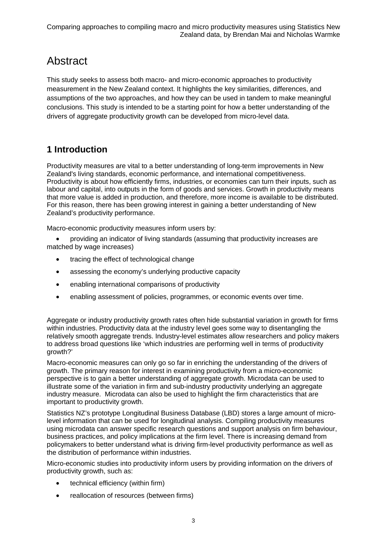# **Abstract**

This study seeks to assess both macro- and micro-economic approaches to productivity measurement in the New Zealand context. It highlights the key similarities, differences, and assumptions of the two approaches, and how they can be used in tandem to make meaningful conclusions. This study is intended to be a starting point for how a better understanding of the drivers of aggregate productivity growth can be developed from micro-level data.

## **1 Introduction**

Productivity measures are vital to a better understanding of long-term improvements in New Zealand's living standards, economic performance, and international competitiveness. Productivity is about how efficiently firms, industries, or economies can turn their inputs, such as labour and capital, into outputs in the form of goods and services. Growth in productivity means that more value is added in production, and therefore, more income is available to be distributed. For this reason, there has been growing interest in gaining a better understanding of New Zealand's productivity performance.

Macro-economic productivity measures inform users by:

• providing an indicator of living standards (assuming that productivity increases are matched by wage increases)

- tracing the effect of technological change
- assessing the economy's underlying productive capacity
- enabling international comparisons of productivity
- enabling assessment of policies, programmes, or economic events over time.

Aggregate or industry productivity growth rates often hide substantial variation in growth for firms within industries. Productivity data at the industry level goes some way to disentangling the relatively smooth aggregate trends. Industry-level estimates allow researchers and policy makers to address broad questions like 'which industries are performing well in terms of productivity growth?'

Macro-economic measures can only go so far in enriching the understanding of the drivers of growth. The primary reason for interest in examining productivity from a micro-economic perspective is to gain a better understanding of aggregate growth. Microdata can be used to illustrate some of the variation in firm and sub-industry productivity underlying an aggregate industry measure. Microdata can also be used to highlight the firm characteristics that are important to productivity growth.

Statistics NZ's prototype Longitudinal Business Database (LBD) stores a large amount of microlevel information that can be used for longitudinal analysis. Compiling productivity measures using microdata can answer specific research questions and support analysis on firm behaviour, business practices, and policy implications at the firm level. There is increasing demand from policymakers to better understand what is driving firm-level productivity performance as well as the distribution of performance within industries.

Micro-economic studies into productivity inform users by providing information on the drivers of productivity growth, such as:

- technical efficiency (within firm)
- reallocation of resources (between firms)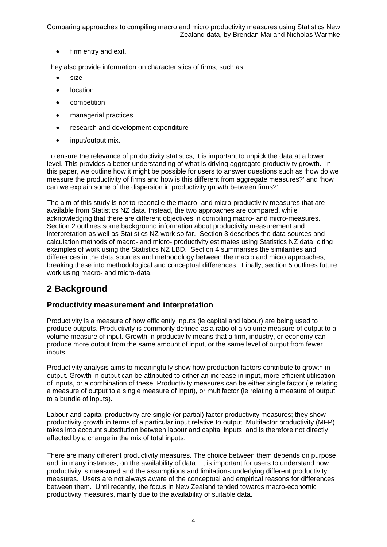• firm entry and exit.

They also provide information on characteristics of firms, such as:

- size
- location
- competition
- managerial practices
- research and development expenditure
- input/output mix.

To ensure the relevance of productivity statistics, it is important to unpick the data at a lower level. This provides a better understanding of what is driving aggregate productivity growth. In this paper, we outline how it might be possible for users to answer questions such as 'how do we measure the productivity of firms and how is this different from aggregate measures?' and 'how can we explain some of the dispersion in productivity growth between firms?'

The aim of this study is not to reconcile the macro- and micro-productivity measures that are available from Statistics NZ data. Instead, the two approaches are compared, while acknowledging that there are different objectives in compiling macro- and micro-measures. Section 2 outlines some background information about productivity measurement and interpretation as well as Statistics NZ work so far. Section 3 describes the data sources and calculation methods of macro- and micro- productivity estimates using Statistics NZ data, citing examples of work using the Statistics NZ LBD. Section 4 summarises the similarities and differences in the data sources and methodology between the macro and micro approaches, breaking these into methodological and conceptual differences. Finally, section 5 outlines future work using macro- and micro-data.

## **2 Background**

## **Productivity measurement and interpretation**

Productivity is a measure of how efficiently inputs (ie capital and labour) are being used to produce outputs. Productivity is commonly defined as a ratio of a volume measure of output to a volume measure of input. Growth in productivity means that a firm, industry, or economy can produce more output from the same amount of input, or the same level of output from fewer inputs.

Productivity analysis aims to meaningfully show how production factors contribute to growth in output. Growth in output can be attributed to either an increase in input, more efficient utilisation of inputs, or a combination of these. Productivity measures can be either single factor (ie relating a measure of output to a single measure of input), or multifactor (ie relating a measure of output to a bundle of inputs).

Labour and capital productivity are single (or partial) factor productivity measures; they show productivity growth in terms of a particular input relative to output. Multifactor productivity (MFP) takes into account substitution between labour and capital inputs, and is therefore not directly affected by a change in the mix of total inputs.

There are many different productivity measures. The choice between them depends on purpose and, in many instances, on the availability of data. It is important for users to understand how productivity is measured and the assumptions and limitations underlying different productivity measures. Users are not always aware of the conceptual and empirical reasons for differences between them. Until recently, the focus in New Zealand tended towards macro-economic productivity measures, mainly due to the availability of suitable data.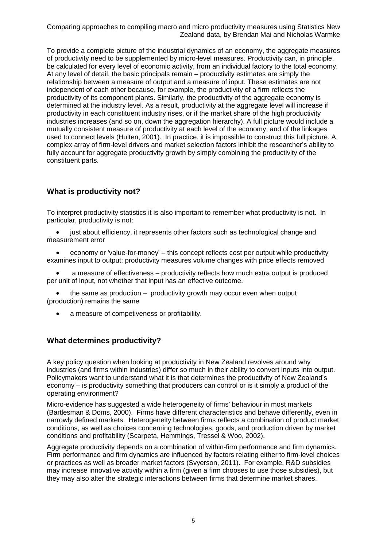To provide a complete picture of the industrial dynamics of an economy, the aggregate measures of productivity need to be supplemented by micro-level measures. Productivity can, in principle, be calculated for every level of economic activity, from an individual factory to the total economy. At any level of detail, the basic principals remain – productivity estimates are simply the relationship between a measure of output and a measure of input. These estimates are not independent of each other because, for example, the productivity of a firm reflects the productivity of its component plants. Similarly, the productivity of the aggregate economy is determined at the industry level. As a result, productivity at the aggregate level will increase if productivity in each constituent industry rises, or if the market share of the high productivity industries increases (and so on, down the aggregation hierarchy). A full picture would include a mutually consistent measure of productivity at each level of the economy, and of the linkages used to connect levels (Hulten, 2001). In practice, it is impossible to construct this full picture. A complex array of firm-level drivers and market selection factors inhibit the researcher's ability to fully account for aggregate productivity growth by simply combining the productivity of the constituent parts.

## **What is productivity not?**

To interpret productivity statistics it is also important to remember what productivity is not. In particular, productivity is not:

• just about efficiency, it represents other factors such as technological change and measurement error

• economy or 'value-for-money' – this concept reflects cost per output while productivity examines input to output; productivity measures volume changes with price effects removed

• a measure of effectiveness – productivity reflects how much extra output is produced per unit of input, not whether that input has an effective outcome.

• the same as production – productivity growth may occur even when output (production) remains the same

• a measure of competiveness or profitability.

## **What determines productivity?**

A key policy question when looking at productivity in New Zealand revolves around why industries (and firms within industries) differ so much in their ability to convert inputs into output. Policymakers want to understand what it is that determines the productivity of New Zealand's economy – is productivity something that producers can control or is it simply a product of the operating environment?

Micro-evidence has suggested a wide heterogeneity of firms' behaviour in most markets (Bartlesman & Doms, 2000). Firms have different characteristics and behave differently, even in narrowly defined markets. Heterogeneity between firms reflects a combination of product market conditions, as well as choices concerning technologies, goods, and production driven by market conditions and profitability (Scarpeta, Hemmings, Tressel & Woo, 2002).

Aggregate productivity depends on a combination of within-firm performance and firm dynamics. Firm performance and firm dynamics are influenced by factors relating either to firm-level choices or practices as well as broader market factors (Svyerson, 2011). For example, R&D subsidies may increase innovative activity within a firm (given a firm chooses to use those subsidies), but they may also alter the strategic interactions between firms that determine market shares.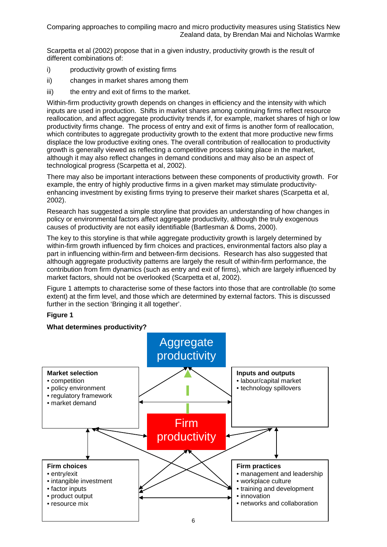Scarpetta et al (2002) propose that in a given industry, productivity growth is the result of different combinations of:

- i) productivity growth of existing firms
- ii) changes in market shares among them
- iii) the entry and exit of firms to the market.

Within-firm productivity growth depends on changes in efficiency and the intensity with which inputs are used in production. Shifts in market shares among continuing firms reflect resource reallocation, and affect aggregate productivity trends if, for example, market shares of high or low productivity firms change. The process of entry and exit of firms is another form of reallocation, which contributes to aggregate productivity growth to the extent that more productive new firms displace the low productive exiting ones. The overall contribution of reallocation to productivity growth is generally viewed as reflecting a competitive process taking place in the market, although it may also reflect changes in demand conditions and may also be an aspect of technological progress (Scarpetta et al, 2002).

There may also be important interactions between these components of productivity growth. For example, the entry of highly productive firms in a given market may stimulate productivityenhancing investment by existing firms trying to preserve their market shares (Scarpetta et al, 2002).

Research has suggested a simple storyline that provides an understanding of how changes in policy or environmental factors affect aggregate productivity, although the truly exogenous causes of productivity are not easily identifiable (Bartlesman & Doms, 2000).

The key to this storyline is that while aggregate productivity growth is largely determined by within-firm growth influenced by firm choices and practices, environmental factors also play a part in influencing within-firm and between-firm decisions. Research has also suggested that although aggregate productivity patterns are largely the result of within-firm performance, the contribution from firm dynamics (such as entry and exit of firms), which are largely influenced by market factors, should not be overlooked (Scarpetta et al, 2002).

Figure 1 attempts to characterise some of these factors into those that are controllable (to some extent) at the firm level, and those which are determined by external factors. This is discussed further in the section 'Bringing it all together'.

#### **Figure 1**

#### **What determines productivity?**

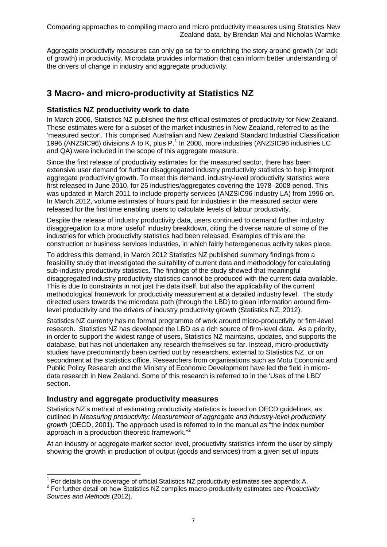Aggregate productivity measures can only go so far to enriching the story around growth (or lack of growth) in productivity. Microdata provides information that can inform better understanding of the drivers of change in industry and aggregate productivity.

## **3 Macro- and micro-productivity at Statistics NZ**

## **Statistics NZ productivity work to date**

In March 2006, Statistics NZ published the first official estimates of productivity for New Zealand. These estimates were for a subset of the market industries in New Zealand, referred to as the 'measured sector'. This comprised Australian and New Zealand Standard Industrial Classification 1996 (ANZSIC96) divisions A to K, plus P. [1](#page-6-0) In 2008, more industries (ANZSIC96 industries LC and QA) were included in the scope of this aggregate measure.

Since the first release of productivity estimates for the measured sector, there has been extensive user demand for further disaggregated industry productivity statistics to help interpret aggregate productivity growth. To meet this demand, industry-level productivity statistics were first released in June 2010, for 25 industries/aggregates covering the 1978–2008 period. This was updated in March 2011 to include property services (ANZSIC96 industry LA) from 1996 on. In March 2012, volume estimates of hours paid for industries in the measured sector were released for the first time enabling users to calculate levels of labour productivity.

Despite the release of industry productivity data, users continued to demand further industry disaggregation to a more 'useful' industry breakdown, citing the diverse nature of some of the industries for which productivity statistics had been released. Examples of this are the construction or business services industries, in which fairly heterogeneous activity takes place.

To address this demand, in March 2012 Statistics NZ published summary findings from a feasibility study that investigated the suitability of current data and methodology for calculating sub-industry productivity statistics. The findings of the study showed that meaningful disaggregated industry productivity statistics cannot be produced with the current data available. This is due to constraints in not just the data itself, but also the applicability of the current methodological framework for productivity measurement at a detailed industry level. The study directed users towards the microdata path (through the LBD) to glean information around firmlevel productivity and the drivers of industry productivity growth (Statistics NZ, 2012).

Statistics NZ currently has no formal programme of work around micro-productivity or firm-level research. Statistics NZ has developed the LBD as a rich source of firm-level data. As a priority, in order to support the widest range of users, Statistics NZ maintains, updates, and supports the database, but has not undertaken any research themselves so far. Instead, micro-productivity studies have predominantly been carried out by researchers, external to Statistics NZ, or on secondment at the statistics office. Researchers from organisations such as Motu Economic and Public Policy Research and the Ministry of Economic Development have led the field in microdata research in New Zealand. Some of this research is referred to in the 'Uses of the LBD' section.

## **Industry and aggregate productivity measures**

Statistics NZ's method of estimating productivity statistics is based on OECD guidelines, as outlined in *Measuring productivity: Measurement of aggregate and industry-level productivity growth* (OECD, 2001). The approach used is referred to in the manual as "the index number approach in a production theoretic framework."<sup>[2](#page-6-1)</sup>

At an industry or aggregate market sector level, productivity statistics inform the user by simply showing the growth in production of output (goods and services) from a given set of inputs

<span id="page-6-0"></span><sup>&</sup>lt;sup>1</sup> For details on the coverage of official Statistics NZ productivity estimates see appendix A.<br><sup>2</sup> For further detail on how Statistics NZ compiles macro-productivity estimates see *Productivity* 

<span id="page-6-1"></span>*Sources and Methods* (2012).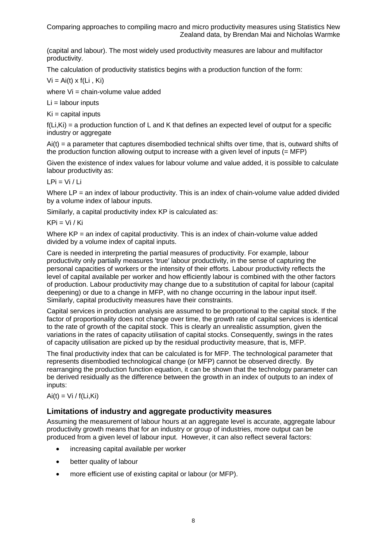(capital and labour). The most widely used productivity measures are labour and multifactor productivity.

The calculation of productivity statistics begins with a production function of the form:

 $Vi = Ai(t) \times f(Li, Ki)$ 

where Vi = chain-volume value added

Li = labour inputs

 $Ki = capital$  inputs

 $f(Li,Ki) = a$  production function of L and K that defines an expected level of output for a specific industry or aggregate

Ai(t) = a parameter that captures disembodied technical shifts over time, that is, outward shifts of the production function allowing output to increase with a given level of inputs (= MFP)

Given the existence of index values for labour volume and value added, it is possible to calculate labour productivity as:

 $LPi = Vi / Li$ 

Where LP = an index of labour productivity. This is an index of chain-volume value added divided by a volume index of labour inputs.

Similarly, a capital productivity index KP is calculated as:

 $KPi = Vi / Ki$ 

Where KP = an index of capital productivity. This is an index of chain-volume value added divided by a volume index of capital inputs.

Care is needed in interpreting the partial measures of productivity. For example, labour productivity only partially measures 'true' labour productivity, in the sense of capturing the personal capacities of workers or the intensity of their efforts. Labour productivity reflects the level of capital available per worker and how efficiently labour is combined with the other factors of production. Labour productivity may change due to a substitution of capital for labour (capital deepening) or due to a change in MFP, with no change occurring in the labour input itself. Similarly, capital productivity measures have their constraints.

Capital services in production analysis are assumed to be proportional to the capital stock. If the factor of proportionality does not change over time, the growth rate of capital services is identical to the rate of growth of the capital stock. This is clearly an unrealistic assumption, given the variations in the rates of capacity utilisation of capital stocks. Consequently, swings in the rates of capacity utilisation are picked up by the residual productivity measure, that is, MFP.

The final productivity index that can be calculated is for MFP. The technological parameter that represents disembodied technological change (or MFP) cannot be observed directly. By rearranging the production function equation, it can be shown that the technology parameter can be derived residually as the difference between the growth in an index of outputs to an index of inputs:

## $Ai(t) = Vi / f(Li,Ki)$

#### **Limitations of industry and aggregate productivity measures**

Assuming the measurement of labour hours at an aggregate level is accurate, aggregate labour productivity growth means that for an industry or group of industries, more output can be produced from a given level of labour input. However, it can also reflect several factors:

- increasing capital available per worker
- better quality of labour
- more efficient use of existing capital or labour (or MFP).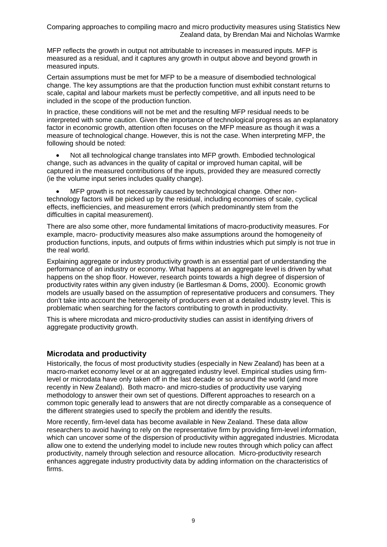MFP reflects the growth in output not attributable to increases in measured inputs. MFP is measured as a residual, and it captures any growth in output above and beyond growth in measured inputs.

Certain assumptions must be met for MFP to be a measure of disembodied technological change. The key assumptions are that the production function must exhibit constant returns to scale, capital and labour markets must be perfectly competitive, and all inputs need to be included in the scope of the production function.

In practice, these conditions will not be met and the resulting MFP residual needs to be interpreted with some caution. Given the importance of technological progress as an explanatory factor in economic growth, attention often focuses on the MFP measure as though it was a measure of technological change. However, this is not the case. When interpreting MFP, the following should be noted:

• Not all technological change translates into MFP growth. Embodied technological change, such as advances in the quality of capital or improved human capital, will be captured in the measured contributions of the inputs, provided they are measured correctly (ie the volume input series includes quality change).

• MFP growth is not necessarily caused by technological change. Other nontechnology factors will be picked up by the residual, including economies of scale, cyclical effects, inefficiencies, and measurement errors (which predominantly stem from the difficulties in capital measurement).

There are also some other, more fundamental limitations of macro-productivity measures. For example, macro- productivity measures also make assumptions around the homogeneity of production functions, inputs, and outputs of firms within industries which put simply is not true in the real world.

Explaining aggregate or industry productivity growth is an essential part of understanding the performance of an industry or economy. What happens at an aggregate level is driven by what happens on the shop floor. However, research points towards a high degree of dispersion of productivity rates within any given industry (ie Bartlesman & Doms, 2000). Economic growth models are usually based on the assumption of representative producers and consumers. They don't take into account the heterogeneity of producers even at a detailed industry level. This is problematic when searching for the factors contributing to growth in productivity.

This is where microdata and micro-productivity studies can assist in identifying drivers of aggregate productivity growth.

## **Microdata and productivity**

Historically, the focus of most productivity studies (especially in New Zealand) has been at a macro-market economy level or at an aggregated industry level. Empirical studies using firmlevel or microdata have only taken off in the last decade or so around the world (and more recently in New Zealand). Both macro- and micro-studies of productivity use varying methodology to answer their own set of questions. Different approaches to research on a common topic generally lead to answers that are not directly comparable as a consequence of the different strategies used to specify the problem and identify the results.

More recently, firm-level data has become available in New Zealand. These data allow researchers to avoid having to rely on the representative firm by providing firm-level information, which can uncover some of the dispersion of productivity within aggregated industries. Microdata allow one to extend the underlying model to include new routes through which policy can affect productivity, namely through selection and resource allocation. Micro-productivity research enhances aggregate industry productivity data by adding information on the characteristics of firms.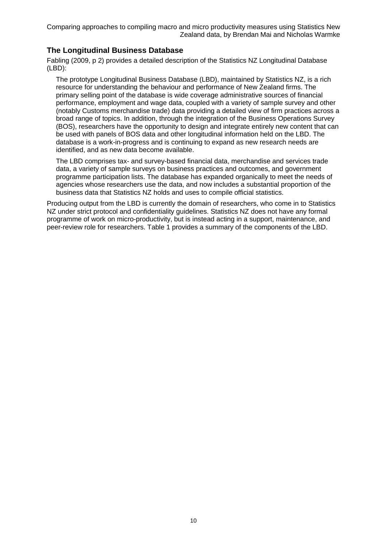## **The Longitudinal Business Database**

Fabling (2009, p 2) provides a detailed description of the Statistics NZ Longitudinal Database (LBD):

The prototype Longitudinal Business Database (LBD), maintained by Statistics NZ, is a rich resource for understanding the behaviour and performance of New Zealand firms. The primary selling point of the database is wide coverage administrative sources of financial performance, employment and wage data, coupled with a variety of sample survey and other (notably Customs merchandise trade) data providing a detailed view of firm practices across a broad range of topics. In addition, through the integration of the Business Operations Survey (BOS), researchers have the opportunity to design and integrate entirely new content that can be used with panels of BOS data and other longitudinal information held on the LBD. The database is a work-in-progress and is continuing to expand as new research needs are identified, and as new data become available.

The LBD comprises tax- and survey-based financial data, merchandise and services trade data, a variety of sample surveys on business practices and outcomes, and government programme participation lists. The database has expanded organically to meet the needs of agencies whose researchers use the data, and now includes a substantial proportion of the business data that Statistics NZ holds and uses to compile official statistics.

Producing output from the LBD is currently the domain of researchers, who come in to Statistics NZ under strict protocol and confidentiality guidelines. Statistics NZ does not have any formal programme of work on micro-productivity, but is instead acting in a support, maintenance, and peer-review role for researchers. Table 1 provides a summary of the components of the LBD.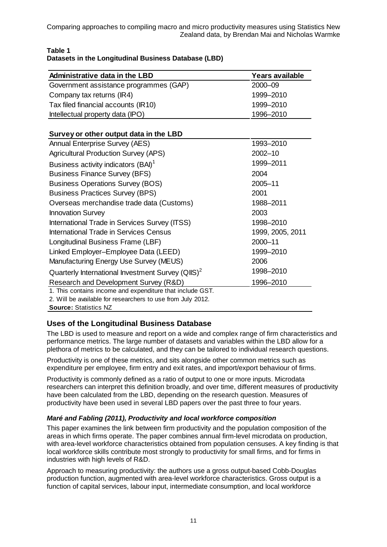| <b>Administrative data in the LBD</b>  | <b>Years available</b> |
|----------------------------------------|------------------------|
| Government assistance programmes (GAP) | 2000-09                |
| Company tax returns (IR4)              | 1999-2010              |
| Tax filed financial accounts (IR10)    | 1999-2010              |
| Intellectual property data (IPO)       | 1996-2010              |

### **Table 1 Datasets in the Longitudinal Business Database (LBD)**

## **Survey or other output data in the LBD**

| <b>Annual Enterprise Survey (AES)</b>                         | 1993-2010        |
|---------------------------------------------------------------|------------------|
| <b>Agricultural Production Survey (APS)</b>                   | $2002 - 10$      |
| Business activity indicators (BAI) <sup>1</sup>               | 1999-2011        |
| <b>Business Finance Survey (BFS)</b>                          | 2004             |
| <b>Business Operations Survey (BOS)</b>                       | 2005-11          |
| <b>Business Practices Survey (BPS)</b>                        | 2001             |
| Overseas merchandise trade data (Customs)                     | 1988-2011        |
| <b>Innovation Survey</b>                                      | 2003             |
| International Trade in Services Survey (ITSS)                 | 1998-2010        |
| International Trade in Services Census                        | 1999, 2005, 2011 |
| Longitudinal Business Frame (LBF)                             | 2000-11          |
| Linked Employer-Employee Data (LEED)                          | 1999-2010        |
| Manufacturing Energy Use Survey (MEUS)                        | 2006             |
| Quarterly International Investment Survey (QIIS) <sup>2</sup> | 1998-2010        |
| Research and Development Survey (R&D)                         | 1996-2010        |
| 1. This contains income and expenditure that include GST.     |                  |
| 2. Will be available for researchers to use from July 2012.   |                  |

**Source:** Statistics NZ

## **Uses of the Longitudinal Business Database**

The LBD is used to measure and report on a wide and complex range of firm characteristics and performance metrics. The large number of datasets and variables within the LBD allow for a plethora of metrics to be calculated, and they can be tailored to individual research questions.

Productivity is one of these metrics, and sits alongside other common metrics such as expenditure per employee, firm entry and exit rates, and import/export behaviour of firms.

Productivity is commonly defined as a ratio of output to one or more inputs. Microdata researchers can interpret this definition broadly, and over time, different measures of productivity have been calculated from the LBD, depending on the research question. Measures of productivity have been used in several LBD papers over the past three to four years.

## *Maré and Fabling (2011), Productivity and local workforce composition*

This paper examines the link between firm productivity and the population composition of the areas in which firms operate. The paper combines annual firm-level microdata on production, with area-level workforce characteristics obtained from population censuses. A key finding is that local workforce skills contribute most strongly to productivity for small firms, and for firms in industries with high levels of R&D.

Approach to measuring productivity: the authors use a gross output-based Cobb-Douglas production function, augmented with area-level workforce characteristics. Gross output is a function of capital services, labour input, intermediate consumption, and local workforce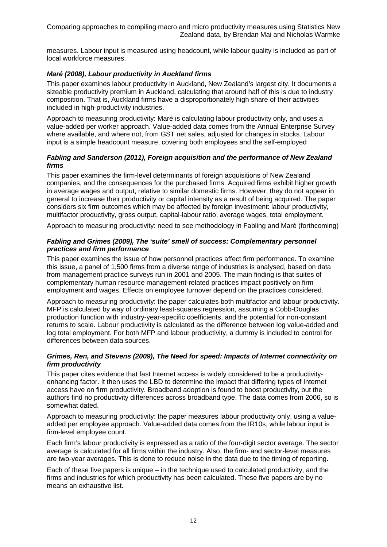measures. Labour input is measured using headcount, while labour quality is included as part of local workforce measures.

### *Maré (2008), Labour productivity in Auckland firms*

This paper examines labour productivity in Auckland, New Zealand's largest city. It documents a sizeable productivity premium in Auckland, calculating that around half of this is due to industry composition. That is, Auckland firms have a disproportionately high share of their activities included in high-productivity industries.

Approach to measuring productivity: Maré is calculating labour productivity only, and uses a value-added per worker approach. Value-added data comes from the Annual Enterprise Survey where available, and where not, from GST net sales, adjusted for changes in stocks. Labour input is a simple headcount measure, covering both employees and the self-employed

### *Fabling and Sanderson (2011), Foreign acquisition and the performance of New Zealand firms*

This paper examines the firm-level determinants of foreign acquisitions of New Zealand companies, and the consequences for the purchased firms. Acquired firms exhibit higher growth in average wages and output, relative to similar domestic firms. However, they do not appear in general to increase their productivity or capital intensity as a result of being acquired. The paper considers six firm outcomes which may be affected by foreign investment: labour productivity, multifactor productivity, gross output, capital-labour ratio, average wages, total employment.

Approach to measuring productivity: need to see methodology in Fabling and Maré (forthcoming)

### *Fabling and Grimes (2009), The 'suite' smell of success: Complementary personnel practices and firm performance*

This paper examines the issue of how personnel practices affect firm performance. To examine this issue, a panel of 1,500 firms from a diverse range of industries is analysed, based on data from management practice surveys run in 2001 and 2005. The main finding is that suites of complementary human resource management-related practices impact positively on firm employment and wages. Effects on employee turnover depend on the practices considered.

Approach to measuring productivity: the paper calculates both multifactor and labour productivity. MFP is calculated by way of ordinary least-squares regression, assuming a Cobb-Douglas production function with industry-year-specific coefficients, and the potential for non-constant returns to scale. Labour productivity is calculated as the difference between log value-added and log total employment. For both MFP and labour productivity, a dummy is included to control for differences between data sources.

### *Grimes, Ren, and Stevens (2009), The Need for speed: Impacts of Internet connectivity on firm productivity*

This paper cites evidence that fast Internet access is widely considered to be a productivityenhancing factor. It then uses the LBD to determine the impact that differing types of Internet access have on firm productivity. Broadband adoption is found to boost productivity, but the authors find no productivity differences across broadband type. The data comes from 2006, so is somewhat dated.

Approach to measuring productivity: the paper measures labour productivity only, using a valueadded per employee approach. Value-added data comes from the IR10s, while labour input is firm-level employee count.

Each firm's labour productivity is expressed as a ratio of the four-digit sector average. The sector average is calculated for all firms within the industry. Also, the firm- and sector-level measures are two-year averages. This is done to reduce noise in the data due to the timing of reporting.

Each of these five papers is unique – in the technique used to calculated productivity, and the firms and industries for which productivity has been calculated. These five papers are by no means an exhaustive list.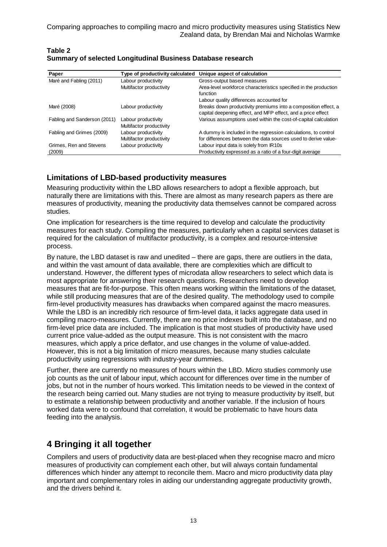| Paper                        | Type of productivity calculated | Unique aspect of calculation                                     |
|------------------------------|---------------------------------|------------------------------------------------------------------|
| Maré and Fabling (2011)      | Labour productivity             | Gross-output based measures                                      |
|                              | Multifactor productivity        | Area-level workforce characteristics specified in the production |
|                              |                                 | function                                                         |
|                              |                                 | Labour quality differences accounted for                         |
| Maré (2008)                  | Labour productivity             | Breaks down productivity premiums into a composition effect, a   |
|                              |                                 | capital deepening effect, and MFP effect, and a price effect     |
| Fabling and Sanderson (2011) | Labour productivity             | Various assumptions used within the cost-of-capital calculation  |
|                              | Multifactor productivity        |                                                                  |
| Fabling and Grimes (2009)    | Labour productivity             | A dummy is included in the regression calculations, to control   |
|                              | Multifactor productivity        | for differences between the data sources used to derive value-   |
| Grimes, Ren and Stevens      | Labour productivity             | Labour input data is solely from IR10s                           |
| (2009)                       |                                 | Productivity expressed as a ratio of a four-digit average        |

#### **Table 2 Summary of selected Longitudinal Business Database research**

## **Limitations of LBD-based productivity measures**

Measuring productivity within the LBD allows researchers to adopt a flexible approach, but naturally there are limitations with this. There are almost as many research papers as there are measures of productivity, meaning the productivity data themselves cannot be compared across studies.

One implication for researchers is the time required to develop and calculate the productivity measures for each study. Compiling the measures, particularly when a capital services dataset is required for the calculation of multifactor productivity, is a complex and resource-intensive process.

By nature, the LBD dataset is raw and unedited – there are gaps, there are outliers in the data, and within the vast amount of data available, there are complexities which are difficult to understand. However, the different types of microdata allow researchers to select which data is most appropriate for answering their research questions. Researchers need to develop measures that are fit-for-purpose. This often means working within the limitations of the dataset, while still producing measures that are of the desired quality. The methodology used to compile firm-level productivity measures has drawbacks when compared against the macro measures. While the LBD is an incredibly rich resource of firm-level data, it lacks aggregate data used in compiling macro-measures. Currently, there are no price indexes built into the database, and no firm-level price data are included. The implication is that most studies of productivity have used current price value-added as the output measure. This is not consistent with the macro measures, which apply a price deflator, and use changes in the volume of value-added. However, this is not a big limitation of micro measures, because many studies calculate productivity using regressions with industry-year dummies.

Further, there are currently no measures of hours within the LBD. Micro studies commonly use job counts as the unit of labour input, which account for differences over time in the number of jobs, but not in the number of hours worked. This limitation needs to be viewed in the context of the research being carried out. Many studies are not trying to measure productivity by itself, but to estimate a relationship between productivity and another variable. If the inclusion of hours worked data were to confound that correlation, it would be problematic to have hours data feeding into the analysis.

## **4 Bringing it all together**

Compilers and users of productivity data are best-placed when they recognise macro and micro measures of productivity can complement each other, but will always contain fundamental differences which hinder any attempt to reconcile them. Macro and micro productivity data play important and complementary roles in aiding our understanding aggregate productivity growth, and the drivers behind it.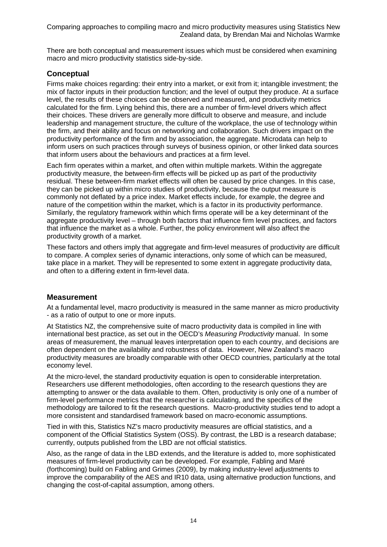There are both conceptual and measurement issues which must be considered when examining macro and micro productivity statistics side-by-side.

## **Conceptual**

Firms make choices regarding: their entry into a market, or exit from it; intangible investment; the mix of factor inputs in their production function; and the level of output they produce. At a surface level, the results of these choices can be observed and measured, and productivity metrics calculated for the firm. Lying behind this, there are a number of firm-level drivers which affect their choices. These drivers are generally more difficult to observe and measure, and include leadership and management structure, the culture of the workplace, the use of technology within the firm, and their ability and focus on networking and collaboration. Such drivers impact on the productivity performance of the firm and by association, the aggregate. Microdata can help to inform users on such practices through surveys of business opinion, or other linked data sources that inform users about the behaviours and practices at a firm level.

Each firm operates within a market, and often within multiple markets. Within the aggregate productivity measure, the between-firm effects will be picked up as part of the productivity residual. These between-firm market effects will often be caused by price changes. In this case, they can be picked up within micro studies of productivity, because the output measure is commonly not deflated by a price index. Market effects include, for example, the degree and nature of the competition within the market, which is a factor in its productivity performance. Similarly, the regulatory framework within which firms operate will be a key determinant of the aggregate productivity level – through both factors that influence firm level practices, and factors that influence the market as a whole. Further, the policy environment will also affect the productivity growth of a market.

These factors and others imply that aggregate and firm-level measures of productivity are difficult to compare. A complex series of dynamic interactions, only some of which can be measured, take place in a market. They will be represented to some extent in aggregate productivity data, and often to a differing extent in firm-level data.

## **Measurement**

At a fundamental level, macro productivity is measured in the same manner as micro productivity - as a ratio of output to one or more inputs.

At Statistics NZ, the comprehensive suite of macro productivity data is compiled in line with international best practice, as set out in the OECD's *Measuring Productivity* manual. In some areas of measurement, the manual leaves interpretation open to each country, and decisions are often dependent on the availability and robustness of data. However, New Zealand's macro productivity measures are broadly comparable with other OECD countries, particularly at the total economy level.

At the micro-level, the standard productivity equation is open to considerable interpretation. Researchers use different methodologies, often according to the research questions they are attempting to answer or the data available to them. Often, productivity is only one of a number of firm-level performance metrics that the researcher is calculating, and the specifics of the methodology are tailored to fit the research questions. Macro-productivity studies tend to adopt a more consistent and standardised framework based on macro-economic assumptions.

Tied in with this, Statistics NZ's macro productivity measures are official statistics, and a component of the Official Statistics System (OSS). By contrast, the LBD is a research database; currently, outputs published from the LBD are not official statistics.

Also, as the range of data in the LBD extends, and the literature is added to, more sophisticated measures of firm-level productivity can be developed. For example, Fabling and Maré (forthcoming) build on Fabling and Grimes (2009), by making industry-level adjustments to improve the comparability of the AES and IR10 data, using alternative production functions, and changing the cost-of-capital assumption, among others.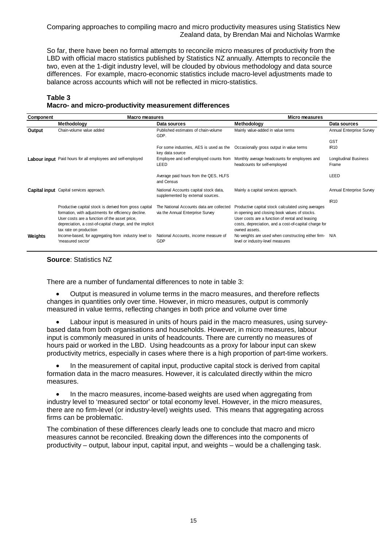So far, there have been no formal attempts to reconcile micro measures of productivity from the LBD with official macro statistics published by Statistics NZ annually. Attempts to reconcile the two, even at the 1-digit industry level, will be clouded by obvious methodology and data source differences. For example, macro-economic statistics include macro-level adjustments made to balance across accounts which will not be reflected in micro-statistics.

### **Table 3**

#### **Macro- and micro-productivity measurement differences**

| Component | Macro measures                                                                                                                                                                                                                                       |                                                                              | Micro measures                                                                                                                                                                                                                   |                                       |
|-----------|------------------------------------------------------------------------------------------------------------------------------------------------------------------------------------------------------------------------------------------------------|------------------------------------------------------------------------------|----------------------------------------------------------------------------------------------------------------------------------------------------------------------------------------------------------------------------------|---------------------------------------|
|           | Methodology                                                                                                                                                                                                                                          | Data sources                                                                 | <b>Methodology</b>                                                                                                                                                                                                               | Data sources                          |
| Output    | Chain-volume value added                                                                                                                                                                                                                             | Published estimates of chain-volume<br>GDP.                                  | Mainly value-added in value terms                                                                                                                                                                                                | <b>Annual Enterprise Survey</b>       |
|           |                                                                                                                                                                                                                                                      |                                                                              |                                                                                                                                                                                                                                  | <b>GST</b>                            |
|           |                                                                                                                                                                                                                                                      | For some industries, AES is used as the<br>key data source                   | Occasionally gross output in value terms                                                                                                                                                                                         | <b>IR10</b>                           |
|           | Labour input Paid hours for all employees and self-employed                                                                                                                                                                                          | LEED                                                                         | Employee and self-employed counts from Monthly average headcounts for employees and<br>headcounts for self-employed                                                                                                              | <b>Longitudinal Business</b><br>Frame |
|           |                                                                                                                                                                                                                                                      | Average paid hours from the QES, HLFS<br>and Census                          |                                                                                                                                                                                                                                  | LEED                                  |
|           | Capital input Capital services approach.                                                                                                                                                                                                             | National Accounts capital stock data,<br>supplemented by external sources.   | Mainly a capital services approach.                                                                                                                                                                                              | Annual Enterprise Survey              |
|           |                                                                                                                                                                                                                                                      |                                                                              |                                                                                                                                                                                                                                  | <b>IR10</b>                           |
|           | Productive capital stock is derived from gross capital<br>formation, with adjustments for efficiency decline.<br>User costs are a function of the asset price,<br>depreciation, a cost-of-capital charge, and the implicit<br>tax rate on production | The National Accounts data are collected<br>via the Annual Enterprise Survey | Productive capital stock calculated using averages<br>in opening and closing book values of stocks.<br>User costs are a function of rental and leasing<br>costs, depreciation, and a cost-of-capital charge for<br>owned assets. |                                       |
| Weights   | Income-based, for aggregating from industry level to<br>'measured sector'                                                                                                                                                                            | National Accounts, income measure of<br>GDP                                  | No weights are used when constructing either firm- N/A<br>level or industry-level measures                                                                                                                                       |                                       |

#### **Source**: Statistics NZ

There are a number of fundamental differences to note in table 3:

• Output is measured in volume terms in the macro measures, and therefore reflects changes in quantities only over time. However, in micro measures, output is commonly measured in value terms, reflecting changes in both price and volume over time

Labour input is measured in units of hours paid in the macro measures, using surveybased data from both organisations and households. However, in micro measures, labour input is commonly measured in units of headcounts. There are currently no measures of hours paid or worked in the LBD. Using headcounts as a proxy for labour input can skew productivity metrics, especially in cases where there is a high proportion of part-time workers.

• In the measurement of capital input, productive capital stock is derived from capital formation data in the macro measures. However, it is calculated directly within the micro measures.

• In the macro measures, income-based weights are used when aggregating from industry level to 'measured sector' or total economy level. However, in the micro measures, there are no firm-level (or industry-level) weights used. This means that aggregating across firms can be problematic.

The combination of these differences clearly leads one to conclude that macro and micro measures cannot be reconciled. Breaking down the differences into the components of productivity – output, labour input, capital input, and weights – would be a challenging task.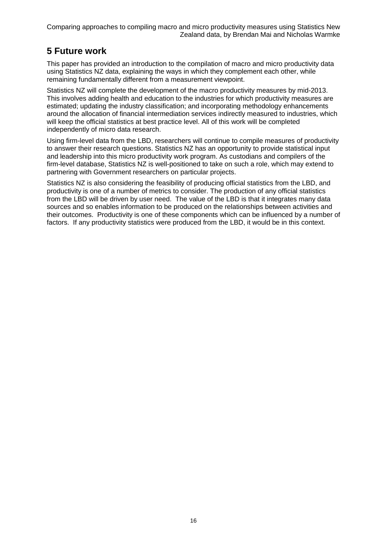## **5 Future work**

This paper has provided an introduction to the compilation of macro and micro productivity data using Statistics NZ data, explaining the ways in which they complement each other, while remaining fundamentally different from a measurement viewpoint.

Statistics NZ will complete the development of the macro productivity measures by mid-2013. This involves adding health and education to the industries for which productivity measures are estimated; updating the industry classification; and incorporating methodology enhancements around the allocation of financial intermediation services indirectly measured to industries, which will keep the official statistics at best practice level. All of this work will be completed independently of micro data research.

Using firm-level data from the LBD, researchers will continue to compile measures of productivity to answer their research questions. Statistics NZ has an opportunity to provide statistical input and leadership into this micro productivity work program. As custodians and compilers of the firm-level database, Statistics NZ is well-positioned to take on such a role, which may extend to partnering with Government researchers on particular projects.

Statistics NZ is also considering the feasibility of producing official statistics from the LBD, and productivity is one of a number of metrics to consider. The production of any official statistics from the LBD will be driven by user need. The value of the LBD is that it integrates many data sources and so enables information to be produced on the relationships between activities and their outcomes. Productivity is one of these components which can be influenced by a number of factors. If any productivity statistics were produced from the LBD, it would be in this context.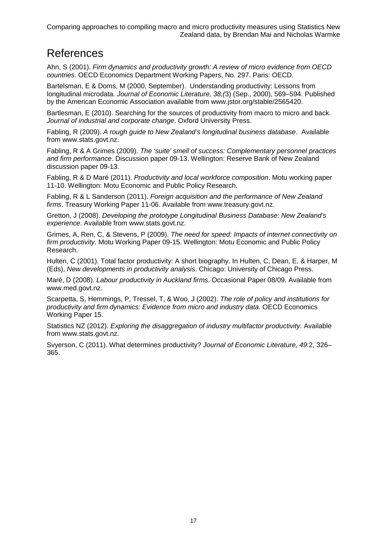## References

Ahn, S (2001). *Firm dynamics and productivity growth: A review of micro evidence from OECD countries*. OECD Economics Department Working Papers, No. 297. Paris: OECD.

Bartelsman, E & Doms, M (2000, September). Understanding productivity: Lessons from longitudinal microdata. *Journal of Economic Literature, 38,(*3) (Sep., 2000), 569–594. Published by the American Economic Association available from www.jstor.org/stable/2565420.

Bartlesman, E (2010). Searching for the sources of productivity from macro to micro and back. *Journal of industrial and corporate change*. Oxford University Press.

Fabling, R (2009). *A rough guide to New Zealand's longitudinal business database*. Available from www.stats.govt.nz.

Fabling, R & A Grimes (2009). *The 'suite' smell of success: Complementary personnel practices and firm performance*. Discussion paper 09-13. Wellington: Reserve Bank of New Zealand discussion paper 09-13.

Fabling, R & D Maré (2011). *Productivity and local workforce composition*. Motu working paper 11-10. Wellington: Motu Economic and Public Policy Research.

Fabling, R & L Sanderson (2011). *Foreign acquisition and the performance of New Zealand firms*. Treasury Working Paper 11-06. Available from www.treasury.govt.nz.

Gretton, J (2008). *Developing the prototype Longitudinal Business Database: New Zealand's experience*. Available from www.stats.govt.nz.

Grimes, A, Ren, C, & Stevens, P (2009). *The need for speed: Impacts of internet connectivity on firm productivity*. Motu Working Paper 09-15. Wellington: Motu Economic and Public Policy Research.

Hulten, C (2001). Total factor productivity: A short biography. In Hulten, C, Dean, E, & Harper, M (Eds), *New developments in productivity analysis*. Chicago: University of Chicago Press.

Maré, D (2008). *Labour productivity in Auckland firms*. Occasional Paper 08/09. Available from www.med.govt.nz.

Scarpetta, S, Hemmings, P, Tressel, T, & Woo, J (2002). *The role of policy and institutions for productivity and firm dynamics: Evidence from micro and industry data*. OECD Economics Working Paper 15.

Statistics NZ (2012). *Exploring the disaggregation of industry multifactor productivity*. Available from www.stats.govt.nz.

Svyerson, C (2011). What determines productivity? *Journal of Economic Literature, 49*:2, 326– 365.